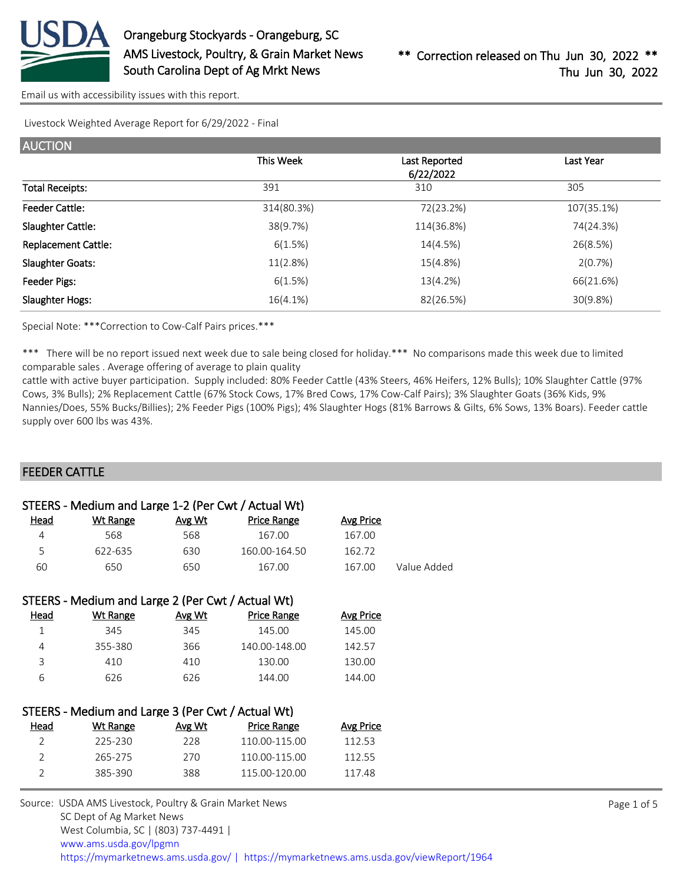

Livestock Weighted Average Report for 6/29/2022 - Final

| <b>AUCTION</b>             |            |                            |            |
|----------------------------|------------|----------------------------|------------|
|                            | This Week  | Last Reported<br>6/22/2022 | Last Year  |
| <b>Total Receipts:</b>     | 391        | 310                        | 305        |
| <b>Feeder Cattle:</b>      | 314(80.3%) | 72(23.2%)                  | 107(35.1%) |
| Slaughter Cattle:          | 38(9.7%)   | 114(36.8%)                 | 74(24.3%)  |
| <b>Replacement Cattle:</b> | 6(1.5%)    | 14(4.5%)                   | 26(8.5%)   |
| <b>Slaughter Goats:</b>    | 11(2.8%)   | 15(4.8%)                   | 2(0.7%)    |
| Feeder Pigs:               | 6(1.5%)    | 13(4.2%)                   | 66(21.6%)  |
| Slaughter Hogs:            | 16(4.1%)   | 82(26.5%)                  | 30(9.8%)   |

Special Note: \*\*\*Correction to Cow-Calf Pairs prices.\*\*\*

\*\*\* There will be no report issued next week due to sale being closed for holiday.\*\*\* No comparisons made this week due to limited comparable sales . Average offering of average to plain quality

cattle with active buyer participation. Supply included: 80% Feeder Cattle (43% Steers, 46% Heifers, 12% Bulls); 10% Slaughter Cattle (97% Cows, 3% Bulls); 2% Replacement Cattle (67% Stock Cows, 17% Bred Cows, 17% Cow-Calf Pairs); 3% Slaughter Goats (36% Kids, 9% Nannies/Does, 55% Bucks/Billies); 2% Feeder Pigs (100% Pigs); 4% Slaughter Hogs (81% Barrows & Gilts, 6% Sows, 13% Boars). Feeder cattle supply over 600 lbs was 43%.

## FEEDER CATTLE

|                | STEERS - Medium and Large 1-2 (Per Cwt / Actual Wt) |        |               |                  |             |  |
|----------------|-----------------------------------------------------|--------|---------------|------------------|-------------|--|
| Head           | <b>Wt Range</b>                                     | Avg Wt | Price Range   | <b>Avg Price</b> |             |  |
| 4              | 568                                                 | 568    | 167.00        | 167.00           |             |  |
| 5              | 622-635                                             | 630    | 160.00-164.50 | 162.72           |             |  |
| 60             | 650                                                 | 650    | 167.00        | 167.00           | Value Added |  |
|                |                                                     |        |               |                  |             |  |
|                | STEERS - Medium and Large 2 (Per Cwt / Actual Wt)   |        |               |                  |             |  |
| Head           | Wt Range                                            | Avg Wt | Price Range   | Avg Price        |             |  |
| 1              | 345                                                 | 345    | 145.00        | 145.00           |             |  |
| 4              | 355-380                                             | 366    | 140.00-148.00 | 142.57           |             |  |
| 3              | 410                                                 | 410    | 130.00        | 130.00           |             |  |
| 6              | 626                                                 | 626    | 144.00        | 144.00           |             |  |
|                |                                                     |        |               |                  |             |  |
|                | STEERS - Medium and Large 3 (Per Cwt / Actual Wt)   |        |               |                  |             |  |
| <u>Head</u>    | <b>Wt Range</b>                                     | Avg Wt | Price Range   | <b>Avg Price</b> |             |  |
| $\overline{2}$ | 225-230                                             | 228    | 110.00-115.00 | 112.53           |             |  |
| 2              | 265-275                                             | 270    | 110.00-115.00 | 112.55           |             |  |
| 2              | 385-390                                             | 388    | 115.00-120.00 | 117.48           |             |  |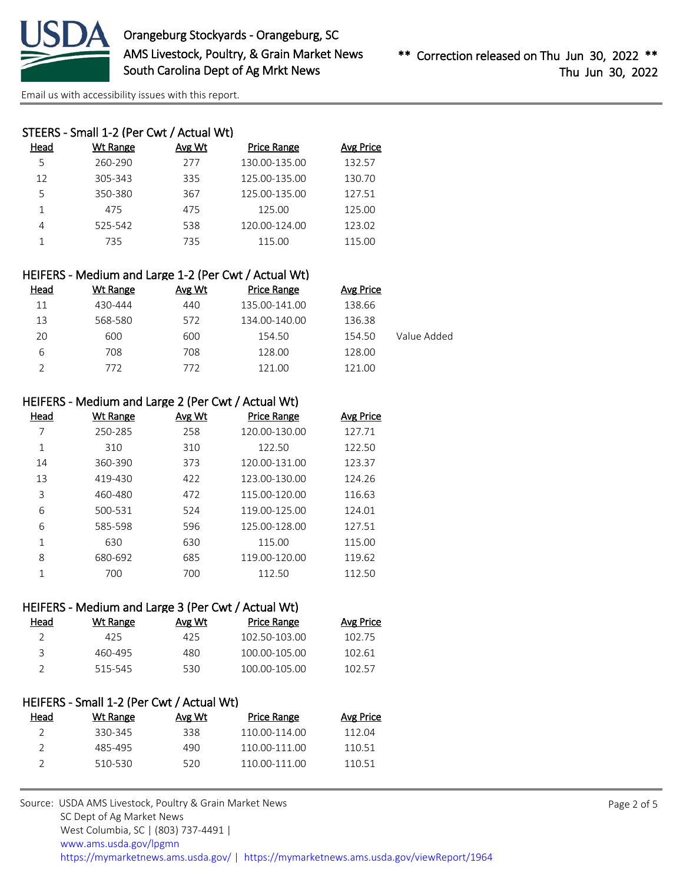

|      | STEERS - Small 1-2 (Per Cwt / Actual Wt) |        |                    |                  |
|------|------------------------------------------|--------|--------------------|------------------|
| Head | Wt Range                                 | Avg Wt | <b>Price Range</b> | <b>Avg Price</b> |
| 5    | 260-290                                  | 277    | 130.00-135.00      | 132.57           |
| 12   | 305-343                                  | 335    | 125.00-135.00      | 130.70           |
| 5    | 350-380                                  | 367    | 125.00-135.00      | 127.51           |
|      | 475                                      | 475    | 125.00             | 125.00           |
| 4    | 525-542                                  | 538    | 120.00-124.00      | 123.02           |
|      | 735                                      | 735    | 115.00             | 115.00           |
|      |                                          |        |                    |                  |

| HEIFERS - Medium and Large 1-2 (Per Cwt / Actual Wt) |          |        |                    |           |             |  |
|------------------------------------------------------|----------|--------|--------------------|-----------|-------------|--|
| Head                                                 | Wt Range | Avg Wt | <b>Price Range</b> | Avg Price |             |  |
| 11                                                   | 430-444  | 440    | 135.00-141.00      | 138.66    |             |  |
| 13                                                   | 568-580  | 572    | 134.00-140.00      | 136.38    |             |  |
| 20                                                   | 600      | 600    | 154.50             | 154.50    | Value Added |  |
| 6                                                    | 708      | 708    | 128.00             | 128.00    |             |  |
|                                                      | 772      | 772    | 121.00             | 121.00    |             |  |
|                                                      |          |        |                    |           |             |  |

| HEIFERS - Medium and Large 2 (Per Cwt / Actual Wt) |  |  |  |  |  |  |
|----------------------------------------------------|--|--|--|--|--|--|
|----------------------------------------------------|--|--|--|--|--|--|

| Head | <b>Wt Range</b> | <b>Avg Wt</b> | <b>Price Range</b> | <b>Avg Price</b> |
|------|-----------------|---------------|--------------------|------------------|
|      | 250-285         | 258           | 120.00-130.00      | 127.71           |
| 1    | 310             | 310           | 122.50             | 122.50           |
| 14   | 360-390         | 373           | 120.00-131.00      | 123.37           |
| 13   | 419-430         | 422           | 123.00-130.00      | 124.26           |
| 3    | 460-480         | 472           | 115.00-120.00      | 116.63           |
| 6    | 500-531         | 524           | 119.00-125.00      | 124.01           |
| 6    | 585-598         | 596           | 125.00-128.00      | 127.51           |
| 1    | 630             | 630           | 115.00             | 115.00           |
| 8    | 680-692         | 685           | 119.00-120.00      | 119.62           |
| 1    | 700             | 700           | 112.50             | 112.50           |

| HEIFERS - Medium and Large 3 (Per Cwt / Actual Wt) |          |        |                    |           |
|----------------------------------------------------|----------|--------|--------------------|-----------|
| Head                                               | Wt Range | Avg Wt | <b>Price Range</b> | Avg Price |
|                                                    | 425      | 425    | 102.50-103.00      | 102.75    |
| ₹                                                  | 460-495  | 480    | 100.00-105.00      | 102.61    |
|                                                    | 515-545  | 530    | 100.00-105.00      | 102.57    |
|                                                    |          |        |                    |           |

## HEIFERS - Small 1-2 (Per Cwt / Actual Wt)

| Head | Wt Range | Avg Wt | Price Range   | Avg Price |
|------|----------|--------|---------------|-----------|
|      | 330-345  | 338.   | 110.00-114.00 | 112 Q4    |
|      | 485-495  | 490    | 110.00-111.00 | 110 51    |
|      | 510-530  | 520    | 110 00-111 00 | 110 51    |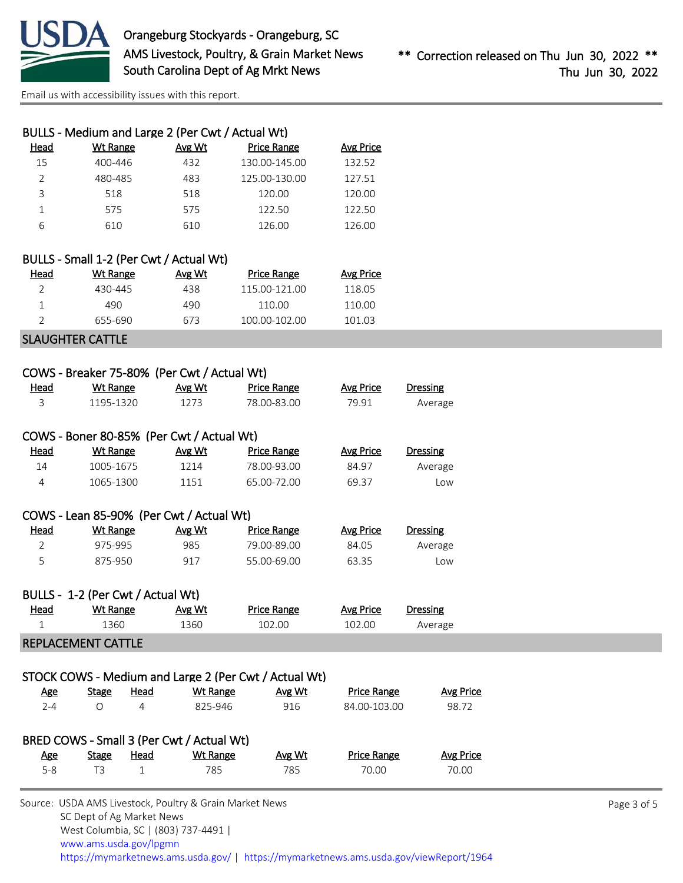

| BULLS - Medium and Large 2 (Per Cwt / Actual Wt) |          |        |                    |                  |
|--------------------------------------------------|----------|--------|--------------------|------------------|
| Head                                             | Wt Range | Avg Wt | <b>Price Range</b> | <b>Avg Price</b> |
| 15                                               | 400-446  | 432    | 130.00-145.00      | 132.52           |
| $\mathcal{P}$                                    | 480-485  | 483    | 125.00-130.00      | 127.51           |
| ς                                                | 518      | 518    | 120.00             | 120.00           |
|                                                  | 575      | 575    | 122.50             | 122.50           |
| 6                                                | 610      | 610    | 126.00             | 126.00           |
|                                                  |          |        |                    |                  |

|      | BULLS - Small 1-2 (Per Cwt / Actual Wt) |        |               |                  |
|------|-----------------------------------------|--------|---------------|------------------|
| Head | Wt Range                                | Avg Wt | Price Range   | <b>Avg Price</b> |
| 2    | 430-445                                 | 438    | 115.00-121.00 | 118.05           |
|      | 490                                     | 490.   | 110.00        | 110.00           |
|      | 655-690                                 | 673    | 100.00-102.00 | 101.03           |

## SLAUGHTER CATTLE

| COWS - Breaker 75-80% (Per Cwt / Actual Wt) |  |
|---------------------------------------------|--|
|                                             |  |

| <u>Head</u> | <b>Wt Range</b>                           | Avg Wt | <b>Price Range</b> | <b>Avg Price</b> | Dressing        |  |  |  |
|-------------|-------------------------------------------|--------|--------------------|------------------|-----------------|--|--|--|
| 3           | 1195-1320                                 | 1273   | 78.00-83.00        | 79.91            | Average         |  |  |  |
|             |                                           |        |                    |                  |                 |  |  |  |
|             | COWS - Boner 80-85% (Per Cwt / Actual Wt) |        |                    |                  |                 |  |  |  |
| Head        | Wt Range                                  | Avg Wt | <b>Price Range</b> | <b>Avg Price</b> | <b>Dressing</b> |  |  |  |
| 14          | 1005-1675                                 | 1214   | 78.00-93.00        | 84.97            | Average         |  |  |  |
| 4           | 1065-1300                                 | 1151   | 65.00-72.00        | 69.37            | Low             |  |  |  |
|             |                                           |        |                    |                  |                 |  |  |  |
|             | COWS - Lean 85-90% (Per Cwt / Actual Wt)  |        |                    |                  |                 |  |  |  |
| Head        | Wt Range                                  | Avg Wt | <b>Price Range</b> | <b>Avg Price</b> | Dressing        |  |  |  |

| ________ | <u>.</u> | .           |     | <u>.</u> | <u>.</u> |
|----------|----------|-------------|-----|----------|----------|
| Average  | 84.05    | 79.00-89.00 | 985 | 975-995  |          |
| _OW      | 63.35    | 55.00-69.00 | 917 | 875-950  |          |

|             | BULLS - 1-2 (Per Cwt / Actual Wt) |        |             |           |          |
|-------------|-----------------------------------|--------|-------------|-----------|----------|
| <u>Head</u> | Wt Range                          | Avg Wt | Price Range | Avg Price | Dressing |
|             | 1360.                             | 1360.  | 102.00      | 102.00    | Average  |
|             |                                   |        |             |           |          |

## REPLACEMENT CATTLE

|  |  |  | STOCK COWS - Medium and Large 2 (Per Cwt / Actual Wt) |
|--|--|--|-------------------------------------------------------|
|  |  |  |                                                       |

| <u>Age</u> | <b>Stage</b> | Head | Wt Range                                  | Avg Wt | <b>Price Range</b> | <b>Avg Price</b> |
|------------|--------------|------|-------------------------------------------|--------|--------------------|------------------|
| $2 - 4$    |              | 4    | 825-946                                   | 916    | 84.00-103.00       | 98.72            |
|            |              |      | BRED COWS - Small 3 (Per Cwt / Actual Wt) |        |                    |                  |
| Age        | <b>Stage</b> | Head | Wt Range                                  | Avg Wt | <b>Price Range</b> | <b>Avg Price</b> |
| $5 - 8$    | TЗ           |      | 785                                       | 785    | 70.00              | 70.00            |
|            |              |      |                                           |        |                    |                  |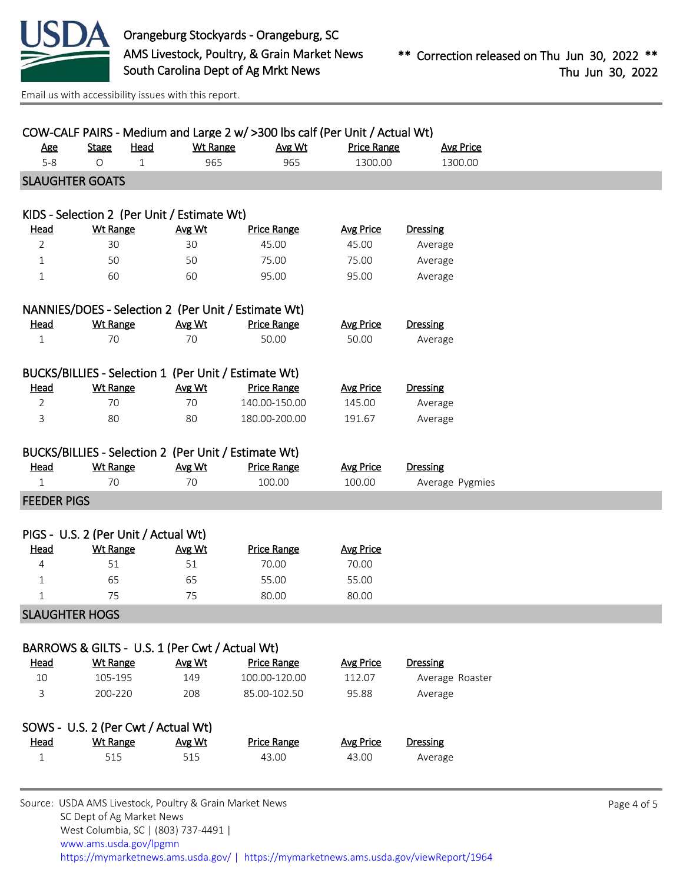

| $5 - 8$<br><b>SLAUGHTER GOATS</b><br><u>Head</u><br>$\overline{2}$<br>$\mathbf{1}$<br>1<br><u>Head</u><br>$\mathbf{1}$ | $\circ$<br>$\mathbf{1}$<br><b>Wt Range</b><br>30<br>50<br>60<br><b>Wt Range</b><br>70 | 965<br>KIDS - Selection 2 (Per Unit / Estimate Wt)<br>Avg Wt<br>30<br>50<br>60<br>NANNIES/DOES - Selection 2 (Per Unit / Estimate Wt)<br>Avg Wt<br>70 | 965<br><b>Price Range</b><br>45.00<br>75.00<br>95.00<br><b>Price Range</b> | 1300.00<br><b>Avg Price</b><br>45.00<br>75.00<br>95.00 | 1300.00<br><b>Dressing</b><br>Average<br>Average<br>Average |  |
|------------------------------------------------------------------------------------------------------------------------|---------------------------------------------------------------------------------------|-------------------------------------------------------------------------------------------------------------------------------------------------------|----------------------------------------------------------------------------|--------------------------------------------------------|-------------------------------------------------------------|--|
|                                                                                                                        |                                                                                       |                                                                                                                                                       |                                                                            |                                                        |                                                             |  |
|                                                                                                                        |                                                                                       |                                                                                                                                                       |                                                                            |                                                        |                                                             |  |
|                                                                                                                        |                                                                                       |                                                                                                                                                       |                                                                            |                                                        |                                                             |  |
|                                                                                                                        |                                                                                       |                                                                                                                                                       |                                                                            |                                                        |                                                             |  |
|                                                                                                                        |                                                                                       |                                                                                                                                                       |                                                                            |                                                        |                                                             |  |
|                                                                                                                        |                                                                                       |                                                                                                                                                       |                                                                            |                                                        |                                                             |  |
|                                                                                                                        |                                                                                       |                                                                                                                                                       |                                                                            |                                                        |                                                             |  |
|                                                                                                                        |                                                                                       |                                                                                                                                                       |                                                                            |                                                        |                                                             |  |
|                                                                                                                        |                                                                                       |                                                                                                                                                       |                                                                            |                                                        |                                                             |  |
|                                                                                                                        |                                                                                       |                                                                                                                                                       |                                                                            | <b>Avg Price</b>                                       | <b>Dressing</b>                                             |  |
|                                                                                                                        |                                                                                       |                                                                                                                                                       | 50.00                                                                      | 50.00                                                  | Average                                                     |  |
|                                                                                                                        |                                                                                       | BUCKS/BILLIES - Selection 1 (Per Unit / Estimate Wt)                                                                                                  |                                                                            |                                                        |                                                             |  |
| Head                                                                                                                   | <b>Wt Range</b>                                                                       | Avg Wt                                                                                                                                                | <b>Price Range</b>                                                         | <b>Avg Price</b>                                       | <b>Dressing</b>                                             |  |
| $\overline{2}$                                                                                                         | 70                                                                                    | 70                                                                                                                                                    | 140.00-150.00                                                              | 145.00                                                 | Average                                                     |  |
| 3                                                                                                                      | 80                                                                                    | 80                                                                                                                                                    | 180.00-200.00                                                              | 191.67                                                 | Average                                                     |  |
|                                                                                                                        |                                                                                       |                                                                                                                                                       |                                                                            |                                                        |                                                             |  |
|                                                                                                                        |                                                                                       | BUCKS/BILLIES - Selection 2 (Per Unit / Estimate Wt)                                                                                                  |                                                                            |                                                        |                                                             |  |
| <b>Head</b>                                                                                                            | <b>Wt Range</b>                                                                       | Avg Wt                                                                                                                                                | <b>Price Range</b>                                                         | <b>Avg Price</b>                                       | <b>Dressing</b>                                             |  |
| $\mathbf{1}$                                                                                                           | 70                                                                                    | 70                                                                                                                                                    | 100.00                                                                     | 100.00                                                 | Average Pygmies                                             |  |
| <b>FEEDER PIGS</b>                                                                                                     |                                                                                       |                                                                                                                                                       |                                                                            |                                                        |                                                             |  |
|                                                                                                                        |                                                                                       |                                                                                                                                                       |                                                                            |                                                        |                                                             |  |
|                                                                                                                        | PIGS - U.S. 2 (Per Unit / Actual Wt)                                                  |                                                                                                                                                       |                                                                            |                                                        |                                                             |  |
| <u>Head</u>                                                                                                            | <b>Wt Range</b>                                                                       | Avg Wt                                                                                                                                                | <b>Price Range</b>                                                         | <b>Avg Price</b>                                       |                                                             |  |
| 4                                                                                                                      | 51<br>65                                                                              | 51                                                                                                                                                    | 70.00                                                                      | 70.00                                                  |                                                             |  |
| $\mathbf{1}$<br>$\mathbf{1}$                                                                                           | 75                                                                                    | 65<br>75                                                                                                                                              | 55.00<br>80.00                                                             | 55.00<br>80.00                                         |                                                             |  |
| <b>SLAUGHTER HOGS</b>                                                                                                  |                                                                                       |                                                                                                                                                       |                                                                            |                                                        |                                                             |  |
|                                                                                                                        |                                                                                       |                                                                                                                                                       |                                                                            |                                                        |                                                             |  |
|                                                                                                                        |                                                                                       | BARROWS & GILTS - U.S. 1 (Per Cwt / Actual Wt)                                                                                                        |                                                                            |                                                        |                                                             |  |
| <b>Head</b>                                                                                                            | <b>Wt Range</b>                                                                       | Avg Wt                                                                                                                                                | <b>Price Range</b>                                                         | <b>Avg Price</b>                                       | <b>Dressing</b>                                             |  |
| 10                                                                                                                     | 105-195                                                                               | 149                                                                                                                                                   | 100.00-120.00                                                              | 112.07                                                 | Average Roaster                                             |  |
| 3                                                                                                                      | 200-220                                                                               | 208                                                                                                                                                   | 85.00-102.50                                                               | 95.88                                                  | Average                                                     |  |
|                                                                                                                        | SOWS - U.S. 2 (Per Cwt / Actual Wt)                                                   |                                                                                                                                                       |                                                                            |                                                        |                                                             |  |
| Head                                                                                                                   | <b>Wt Range</b>                                                                       | Avg Wt                                                                                                                                                | <b>Price Range</b>                                                         | <b>Avg Price</b>                                       | <b>Dressing</b>                                             |  |
| $\mathbf{1}$                                                                                                           | 515                                                                                   | 515                                                                                                                                                   | 43.00                                                                      | 43.00                                                  | Average                                                     |  |
|                                                                                                                        |                                                                                       |                                                                                                                                                       |                                                                            |                                                        |                                                             |  |